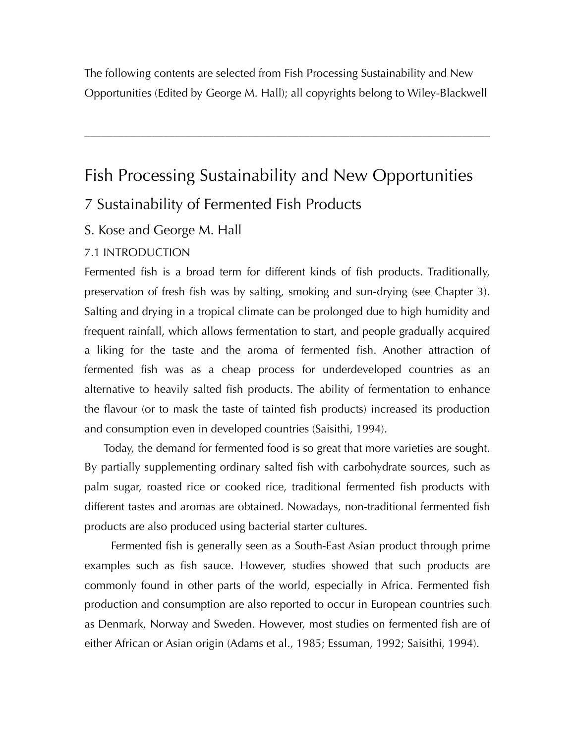The following contents are selected from Fish Processing Sustainability and New Opportunities (Edited by George M. Hall); all copyrights belong to Wiley-Blackwell

**\_\_\_\_\_\_\_\_\_\_\_\_\_\_\_\_\_\_\_\_\_\_\_\_\_\_\_\_\_\_\_\_\_\_\_\_\_\_\_\_\_\_\_\_\_\_\_\_\_\_\_\_\_\_\_\_\_\_\_\_\_\_\_\_\_\_\_\_\_\_\_\_** 

# Fish Processing Sustainability and New Opportunities 7 Sustainability of Fermented Fish Products

S. Kose and George M. Hall

## 7.1 INTRODUCTION

Fermented fish is a broad term for different kinds of fish products. Traditionally, preservation of fresh fish was by salting, smoking and sun-drying (see Chapter 3). Salting and drying in a tropical climate can be prolonged due to high humidity and frequent rainfall, which allows fermentation to start, and people gradually acquired a liking for the taste and the aroma of fermented fish. Another attraction of fermented fish was as a cheap process for underdeveloped countries as an alternative to heavily salted fish products. The ability of fermentation to enhance the flavour (or to mask the taste of tainted fish products) increased its production and consumption even in developed countries (Saisithi, 1994).

 Today, the demand for fermented food is so great that more varieties are sought. By partially supplementing ordinary salted fish with carbohydrate sources, such as palm sugar, roasted rice or cooked rice, traditional fermented fish products with different tastes and aromas are obtained. Nowadays, non-traditional fermented fish products are also produced using bacterial starter cultures.

 Fermented fish is generally seen as a South-East Asian product through prime examples such as fish sauce. However, studies showed that such products are commonly found in other parts of the world, especially in Africa. Fermented fish production and consumption are also reported to occur in European countries such as Denmark, Norway and Sweden. However, most studies on fermented fish are of either African or Asian origin (Adams et al., 1985; Essuman, 1992; Saisithi, 1994).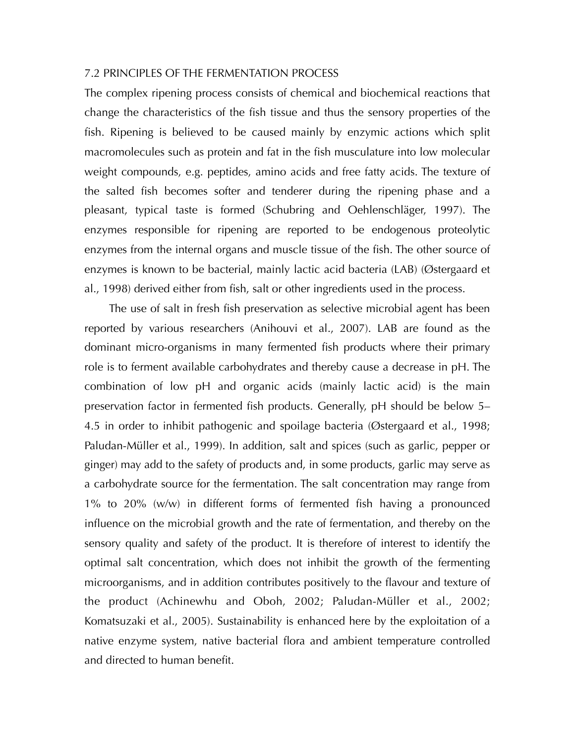#### 7.2 PRINCIPLES OF THE FERMENTATION PROCESS

The complex ripening process consists of chemical and biochemical reactions that change the characteristics of the fish tissue and thus the sensory properties of the fish. Ripening is believed to be caused mainly by enzymic actions which split macromolecules such as protein and fat in the fish musculature into low molecular weight compounds, e.g. peptides, amino acids and free fatty acids. The texture of the salted fish becomes softer and tenderer during the ripening phase and a pleasant, typical taste is formed (Schubring and Oehlenschläger, 1997). The enzymes responsible for ripening are reported to be endogenous proteolytic enzymes from the internal organs and muscle tissue of the fish. The other source of enzymes is known to be bacterial, mainly lactic acid bacteria (LAB) (Østergaard et al., 1998) derived either from fish, salt or other ingredients used in the process.

 The use of salt in fresh fish preservation as selective microbial agent has been reported by various researchers (Anihouvi et al., 2007). LAB are found as the dominant micro-organisms in many fermented fish products where their primary role is to ferment available carbohydrates and thereby cause a decrease in pH. The combination of low pH and organic acids (mainly lactic acid) is the main preservation factor in fermented fish products. Generally, pH should be below 5– 4.5 in order to inhibit pathogenic and spoilage bacteria (Østergaard et al., 1998; Paludan-Müller et al., 1999). In addition, salt and spices (such as garlic, pepper or ginger) may add to the safety of products and, in some products, garlic may serve as a carbohydrate source for the fermentation. The salt concentration may range from 1% to 20% (w/w) in different forms of fermented fish having a pronounced influence on the microbial growth and the rate of fermentation, and thereby on the sensory quality and safety of the product. It is therefore of interest to identify the optimal salt concentration, which does not inhibit the growth of the fermenting microorganisms, and in addition contributes positively to the flavour and texture of the product (Achinewhu and Oboh, 2002; Paludan-Müller et al., 2002; Komatsuzaki et al., 2005). Sustainability is enhanced here by the exploitation of a native enzyme system, native bacterial flora and ambient temperature controlled and directed to human benefit.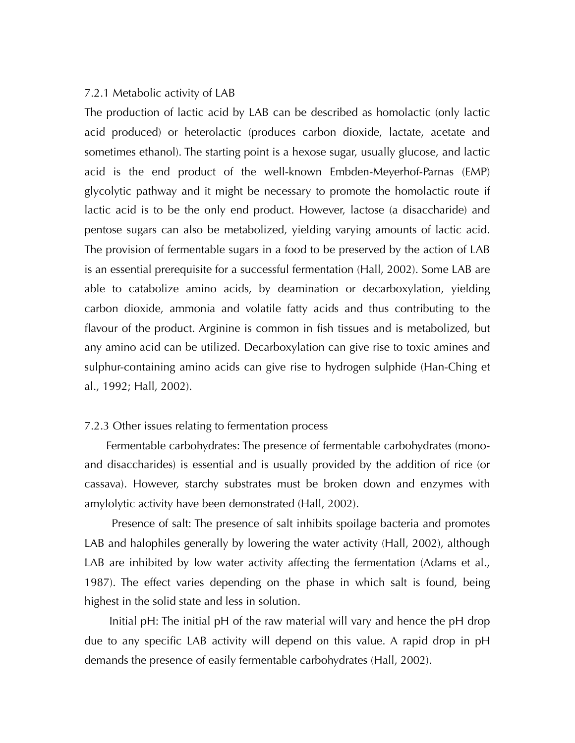#### 7.2.1 Metabolic activity of LAB

The production of lactic acid by LAB can be described as homolactic (only lactic acid produced) or heterolactic (produces carbon dioxide, lactate, acetate and sometimes ethanol). The starting point is a hexose sugar, usually glucose, and lactic acid is the end product of the well-known Embden-Meyerhof-Parnas (EMP) glycolytic pathway and it might be necessary to promote the homolactic route if lactic acid is to be the only end product. However, lactose (a disaccharide) and pentose sugars can also be metabolized, yielding varying amounts of lactic acid. The provision of fermentable sugars in a food to be preserved by the action of LAB is an essential prerequisite for a successful fermentation (Hall, 2002). Some LAB are able to catabolize amino acids, by deamination or decarboxylation, yielding carbon dioxide, ammonia and volatile fatty acids and thus contributing to the flavour of the product. Arginine is common in fish tissues and is metabolized, but any amino acid can be utilized. Decarboxylation can give rise to toxic amines and sulphur-containing amino acids can give rise to hydrogen sulphide (Han-Ching et al., 1992; Hall, 2002).

#### 7.2.3 Other issues relating to fermentation process

 Fermentable carbohydrates: The presence of fermentable carbohydrates (monoand disaccharides) is essential and is usually provided by the addition of rice (or cassava). However, starchy substrates must be broken down and enzymes with amylolytic activity have been demonstrated (Hall, 2002).

 Presence of salt: The presence of salt inhibits spoilage bacteria and promotes LAB and halophiles generally by lowering the water activity (Hall, 2002), although LAB are inhibited by low water activity affecting the fermentation (Adams et al., 1987). The effect varies depending on the phase in which salt is found, being highest in the solid state and less in solution.

 Initial pH: The initial pH of the raw material will vary and hence the pH drop due to any specific LAB activity will depend on this value. A rapid drop in pH demands the presence of easily fermentable carbohydrates (Hall, 2002).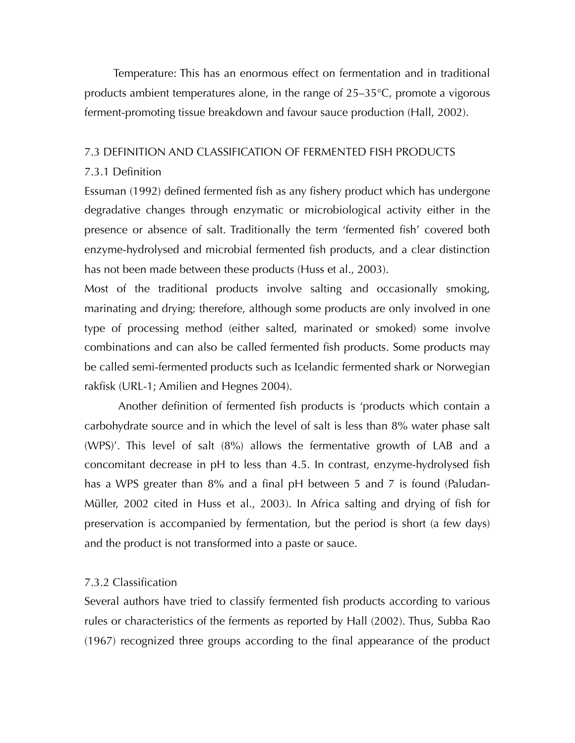Temperature: This has an enormous effect on fermentation and in traditional products ambient temperatures alone, in the range of 25–35°C, promote a vigorous ferment-promoting tissue breakdown and favour sauce production (Hall, 2002).

## 7.3 DEFINITION AND CLASSIFICATION OF FERMENTED FISH PRODUCTS

## 7.3.1 Definition

Essuman (1992) defined fermented fish as any fishery product which has undergone degradative changes through enzymatic or microbiological activity either in the presence or absence of salt. Traditionally the term 'fermented fish' covered both enzyme-hydrolysed and microbial fermented fish products, and a clear distinction has not been made between these products (Huss et al., 2003).

Most of the traditional products involve salting and occasionally smoking, marinating and drying; therefore, although some products are only involved in one type of processing method (either salted, marinated or smoked) some involve combinations and can also be called fermented fish products. Some products may be called semi-fermented products such as Icelandic fermented shark or Norwegian rakfisk (URL-1; Amilien and Hegnes 2004).

 Another definition of fermented fish products is 'products which contain a carbohydrate source and in which the level of salt is less than 8% water phase salt (WPS)'. This level of salt (8%) allows the fermentative growth of LAB and a concomitant decrease in pH to less than 4.5. In contrast, enzyme-hydrolysed fish has a WPS greater than 8% and a final pH between 5 and 7 is found (Paludan-Müller, 2002 cited in Huss et al., 2003). In Africa salting and drying of fish for preservation is accompanied by fermentation, but the period is short (a few days) and the product is not transformed into a paste or sauce.

## 7.3.2 Classification

Several authors have tried to classify fermented fish products according to various rules or characteristics of the ferments as reported by Hall (2002). Thus, Subba Rao (1967) recognized three groups according to the final appearance of the product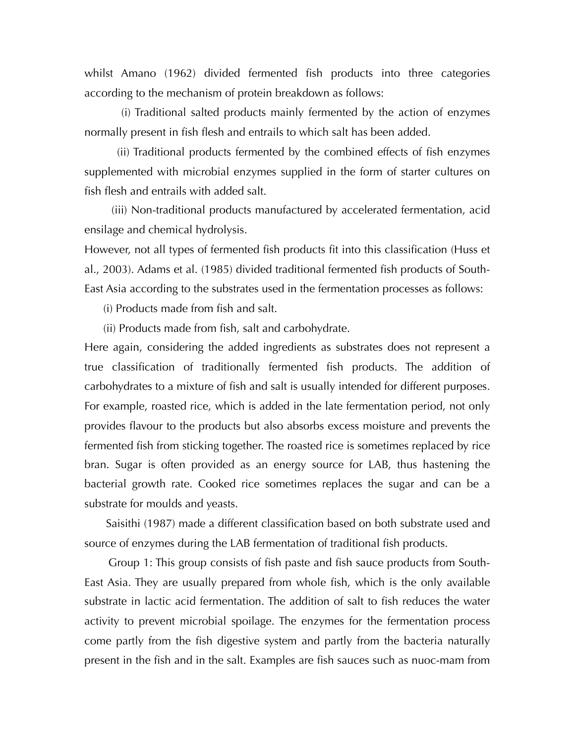whilst Amano (1962) divided fermented fish products into three categories according to the mechanism of protein breakdown as follows:

 (i) Traditional salted products mainly fermented by the action of enzymes normally present in fish flesh and entrails to which salt has been added.

 (ii) Traditional products fermented by the combined effects of fish enzymes supplemented with microbial enzymes supplied in the form of starter cultures on fish flesh and entrails with added salt.

 (iii) Non-traditional products manufactured by accelerated fermentation, acid ensilage and chemical hydrolysis.

However, not all types of fermented fish products fit into this classification (Huss et al., 2003). Adams et al. (1985) divided traditional fermented fish products of South-East Asia according to the substrates used in the fermentation processes as follows:

(i) Products made from fish and salt.

(ii) Products made from fish, salt and carbohydrate.

Here again, considering the added ingredients as substrates does not represent a true classification of traditionally fermented fish products. The addition of carbohydrates to a mixture of fish and salt is usually intended for different purposes. For example, roasted rice, which is added in the late fermentation period, not only provides flavour to the products but also absorbs excess moisture and prevents the fermented fish from sticking together. The roasted rice is sometimes replaced by rice bran. Sugar is often provided as an energy source for LAB, thus hastening the bacterial growth rate. Cooked rice sometimes replaces the sugar and can be a substrate for moulds and yeasts.

 Saisithi (1987) made a different classification based on both substrate used and source of enzymes during the LAB fermentation of traditional fish products.

 Group 1: This group consists of fish paste and fish sauce products from South-East Asia. They are usually prepared from whole fish, which is the only available substrate in lactic acid fermentation. The addition of salt to fish reduces the water activity to prevent microbial spoilage. The enzymes for the fermentation process come partly from the fish digestive system and partly from the bacteria naturally present in the fish and in the salt. Examples are fish sauces such as nuoc-mam from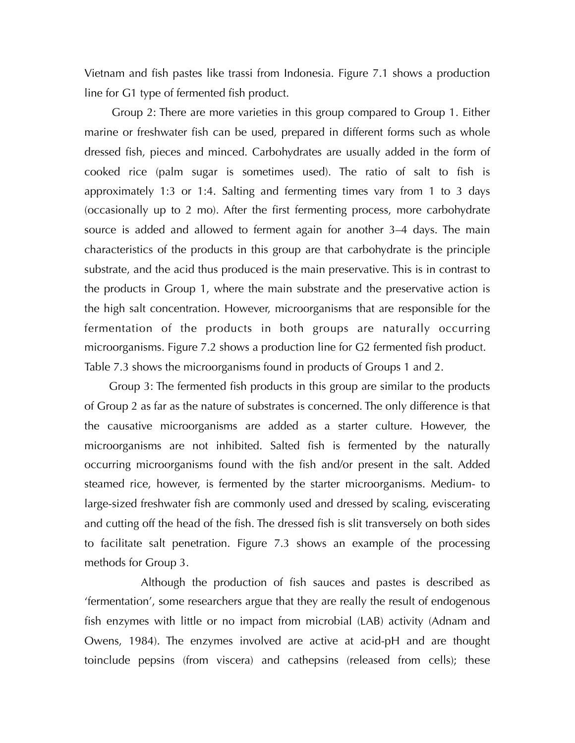Vietnam and fish pastes like trassi from Indonesia. Figure 7.1 shows a production line for G1 type of fermented fish product.

 Group 2: There are more varieties in this group compared to Group 1. Either marine or freshwater fish can be used, prepared in different forms such as whole dressed fish, pieces and minced. Carbohydrates are usually added in the form of cooked rice (palm sugar is sometimes used). The ratio of salt to fish is approximately 1:3 or 1:4. Salting and fermenting times vary from 1 to 3 days (occasionally up to 2 mo). After the first fermenting process, more carbohydrate source is added and allowed to ferment again for another 3–4 days. The main characteristics of the products in this group are that carbohydrate is the principle substrate, and the acid thus produced is the main preservative. This is in contrast to the products in Group 1, where the main substrate and the preservative action is the high salt concentration. However, microorganisms that are responsible for the fermentation of the products in both groups are naturally occurring microorganisms. Figure 7.2 shows a production line for G2 fermented fish product. Table 7.3 shows the microorganisms found in products of Groups 1 and 2.

 Group 3: The fermented fish products in this group are similar to the products of Group 2 as far as the nature of substrates is concerned. The only difference is that the causative microorganisms are added as a starter culture. However, the microorganisms are not inhibited. Salted fish is fermented by the naturally occurring microorganisms found with the fish and/or present in the salt. Added steamed rice, however, is fermented by the starter microorganisms. Medium- to large-sized freshwater fish are commonly used and dressed by scaling, eviscerating and cutting off the head of the fish. The dressed fish is slit transversely on both sides to facilitate salt penetration. Figure 7.3 shows an example of the processing methods for Group 3.

 Although the production of fish sauces and pastes is described as 'fermentation', some researchers argue that they are really the result of endogenous fish enzymes with little or no impact from microbial (LAB) activity (Adnam and Owens, 1984). The enzymes involved are active at acid-pH and are thought toinclude pepsins (from viscera) and cathepsins (released from cells); these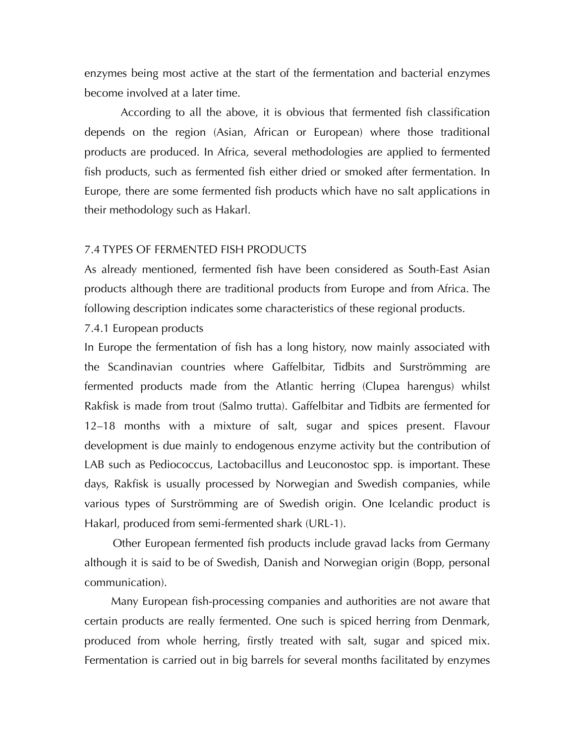enzymes being most active at the start of the fermentation and bacterial enzymes become involved at a later time.

 According to all the above, it is obvious that fermented fish classification depends on the region (Asian, African or European) where those traditional products are produced. In Africa, several methodologies are applied to fermented fish products, such as fermented fish either dried or smoked after fermentation. In Europe, there are some fermented fish products which have no salt applications in their methodology such as Hakarl.

## 7.4 TYPES OF FERMENTED FISH PRODUCTS

As already mentioned, fermented fish have been considered as South-East Asian products although there are traditional products from Europe and from Africa. The following description indicates some characteristics of these regional products.

## 7.4.1 European products

In Europe the fermentation of fish has a long history, now mainly associated with the Scandinavian countries where Gaffelbitar, Tidbits and Surströmming are fermented products made from the Atlantic herring (Clupea harengus) whilst Rakfisk is made from trout (Salmo trutta). Gaffelbitar and Tidbits are fermented for 12–18 months with a mixture of salt, sugar and spices present. Flavour development is due mainly to endogenous enzyme activity but the contribution of LAB such as Pediococcus, Lactobacillus and Leuconostoc spp. is important. These days, Rakfisk is usually processed by Norwegian and Swedish companies, while various types of Surströmming are of Swedish origin. One Icelandic product is Hakarl, produced from semi-fermented shark (URL-1).

 Other European fermented fish products include gravad lacks from Germany although it is said to be of Swedish, Danish and Norwegian origin (Bopp, personal communication).

 Many European fish-processing companies and authorities are not aware that certain products are really fermented. One such is spiced herring from Denmark, produced from whole herring, firstly treated with salt, sugar and spiced mix. Fermentation is carried out in big barrels for several months facilitated by enzymes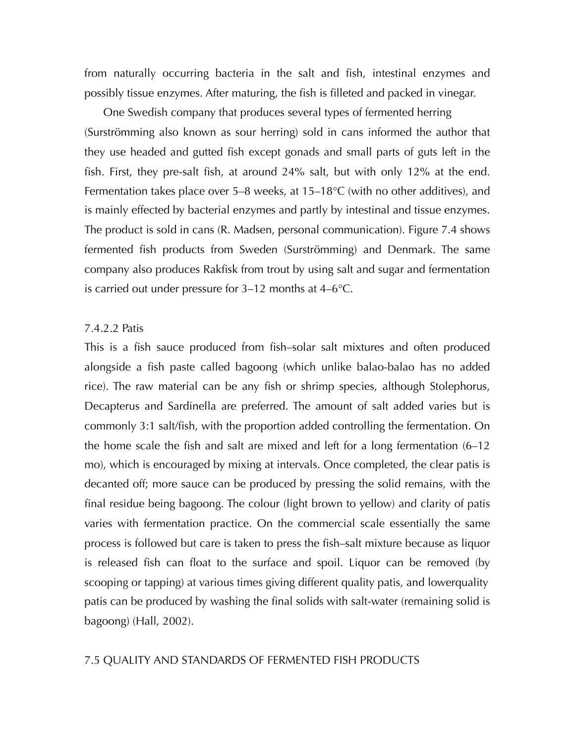from naturally occurring bacteria in the salt and fish, intestinal enzymes and possibly tissue enzymes. After maturing, the fish is filleted and packed in vinegar.

 One Swedish company that produces several types of fermented herring (Surströmming also known as sour herring) sold in cans informed the author that they use headed and gutted fish except gonads and small parts of guts left in the fish. First, they pre-salt fish, at around 24% salt, but with only 12% at the end. Fermentation takes place over 5–8 weeks, at 15–18°C (with no other additives), and is mainly effected by bacterial enzymes and partly by intestinal and tissue enzymes. The product is sold in cans (R. Madsen, personal communication). Figure 7.4 shows fermented fish products from Sweden (Surströmming) and Denmark. The same company also produces Rakfisk from trout by using salt and sugar and fermentation is carried out under pressure for 3–12 months at 4–6°C.

#### 7.4.2.2 Patis

This is a fish sauce produced from fish–solar salt mixtures and often produced alongside a fish paste called bagoong (which unlike balao-balao has no added rice). The raw material can be any fish or shrimp species, although Stolephorus, Decapterus and Sardinella are preferred. The amount of salt added varies but is commonly 3:1 salt/fish, with the proportion added controlling the fermentation. On the home scale the fish and salt are mixed and left for a long fermentation (6–12 mo), which is encouraged by mixing at intervals. Once completed, the clear patis is decanted off; more sauce can be produced by pressing the solid remains, with the final residue being bagoong. The colour (light brown to yellow) and clarity of patis varies with fermentation practice. On the commercial scale essentially the same process is followed but care is taken to press the fish–salt mixture because as liquor is released fish can float to the surface and spoil. Liquor can be removed (by scooping or tapping) at various times giving different quality patis, and lowerquality patis can be produced by washing the final solids with salt-water (remaining solid is bagoong) (Hall, 2002).

## 7.5 QUALITY AND STANDARDS OF FERMENTED FISH PRODUCTS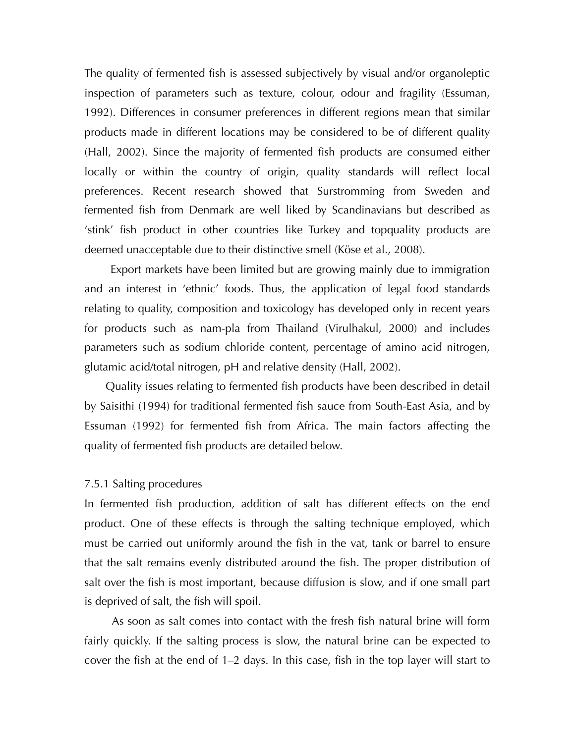The quality of fermented fish is assessed subjectively by visual and/or organoleptic inspection of parameters such as texture, colour, odour and fragility (Essuman, 1992). Differences in consumer preferences in different regions mean that similar products made in different locations may be considered to be of different quality (Hall, 2002). Since the majority of fermented fish products are consumed either locally or within the country of origin, quality standards will reflect local preferences. Recent research showed that Surstromming from Sweden and fermented fish from Denmark are well liked by Scandinavians but described as 'stink' fish product in other countries like Turkey and topquality products are deemed unacceptable due to their distinctive smell (Köse et al., 2008).

 Export markets have been limited but are growing mainly due to immigration and an interest in 'ethnic' foods. Thus, the application of legal food standards relating to quality, composition and toxicology has developed only in recent years for products such as nam-pla from Thailand (Virulhakul, 2000) and includes parameters such as sodium chloride content, percentage of amino acid nitrogen, glutamic acid/total nitrogen, pH and relative density (Hall, 2002).

 Quality issues relating to fermented fish products have been described in detail by Saisithi (1994) for traditional fermented fish sauce from South-East Asia, and by Essuman (1992) for fermented fish from Africa. The main factors affecting the quality of fermented fish products are detailed below.

## 7.5.1 Salting procedures

In fermented fish production, addition of salt has different effects on the end product. One of these effects is through the salting technique employed, which must be carried out uniformly around the fish in the vat, tank or barrel to ensure that the salt remains evenly distributed around the fish. The proper distribution of salt over the fish is most important, because diffusion is slow, and if one small part is deprived of salt, the fish will spoil.

 As soon as salt comes into contact with the fresh fish natural brine will form fairly quickly. If the salting process is slow, the natural brine can be expected to cover the fish at the end of 1–2 days. In this case, fish in the top layer will start to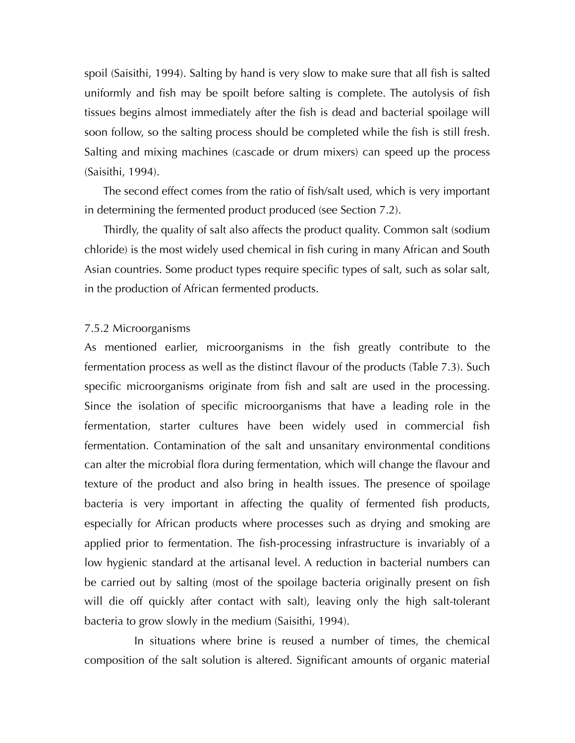spoil (Saisithi, 1994). Salting by hand is very slow to make sure that all fish is salted uniformly and fish may be spoilt before salting is complete. The autolysis of fish tissues begins almost immediately after the fish is dead and bacterial spoilage will soon follow, so the salting process should be completed while the fish is still fresh. Salting and mixing machines (cascade or drum mixers) can speed up the process (Saisithi, 1994).

 The second effect comes from the ratio of fish/salt used, which is very important in determining the fermented product produced (see Section 7.2).

 Thirdly, the quality of salt also affects the product quality. Common salt (sodium chloride) is the most widely used chemical in fish curing in many African and South Asian countries. Some product types require specific types of salt, such as solar salt, in the production of African fermented products.

#### 7.5.2 Microorganisms

As mentioned earlier, microorganisms in the fish greatly contribute to the fermentation process as well as the distinct flavour of the products (Table 7.3). Such specific microorganisms originate from fish and salt are used in the processing. Since the isolation of specific microorganisms that have a leading role in the fermentation, starter cultures have been widely used in commercial fish fermentation. Contamination of the salt and unsanitary environmental conditions can alter the microbial flora during fermentation, which will change the flavour and texture of the product and also bring in health issues. The presence of spoilage bacteria is very important in affecting the quality of fermented fish products, especially for African products where processes such as drying and smoking are applied prior to fermentation. The fish-processing infrastructure is invariably of a low hygienic standard at the artisanal level. A reduction in bacterial numbers can be carried out by salting (most of the spoilage bacteria originally present on fish will die off quickly after contact with salt), leaving only the high salt-tolerant bacteria to grow slowly in the medium (Saisithi, 1994).

 In situations where brine is reused a number of times, the chemical composition of the salt solution is altered. Significant amounts of organic material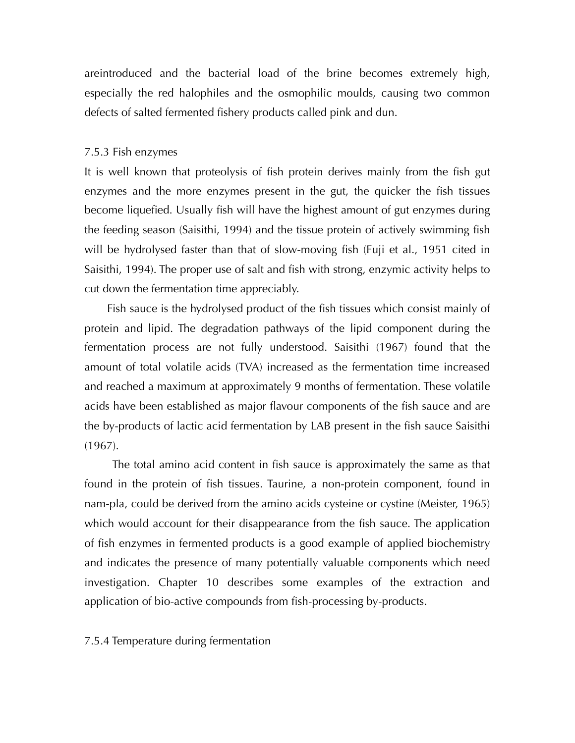areintroduced and the bacterial load of the brine becomes extremely high, especially the red halophiles and the osmophilic moulds, causing two common defects of salted fermented fishery products called pink and dun.

#### 7.5.3 Fish enzymes

It is well known that proteolysis of fish protein derives mainly from the fish gut enzymes and the more enzymes present in the gut, the quicker the fish tissues become liquefied. Usually fish will have the highest amount of gut enzymes during the feeding season (Saisithi, 1994) and the tissue protein of actively swimming fish will be hydrolysed faster than that of slow-moving fish (Fuji et al., 1951 cited in Saisithi, 1994). The proper use of salt and fish with strong, enzymic activity helps to cut down the fermentation time appreciably.

 Fish sauce is the hydrolysed product of the fish tissues which consist mainly of protein and lipid. The degradation pathways of the lipid component during the fermentation process are not fully understood. Saisithi (1967) found that the amount of total volatile acids (TVA) increased as the fermentation time increased and reached a maximum at approximately 9 months of fermentation. These volatile acids have been established as major flavour components of the fish sauce and are the by-products of lactic acid fermentation by LAB present in the fish sauce Saisithi (1967).

 The total amino acid content in fish sauce is approximately the same as that found in the protein of fish tissues. Taurine, a non-protein component, found in nam-pla, could be derived from the amino acids cysteine or cystine (Meister, 1965) which would account for their disappearance from the fish sauce. The application of fish enzymes in fermented products is a good example of applied biochemistry and indicates the presence of many potentially valuable components which need investigation. Chapter 10 describes some examples of the extraction and application of bio-active compounds from fish-processing by-products.

#### 7.5.4 Temperature during fermentation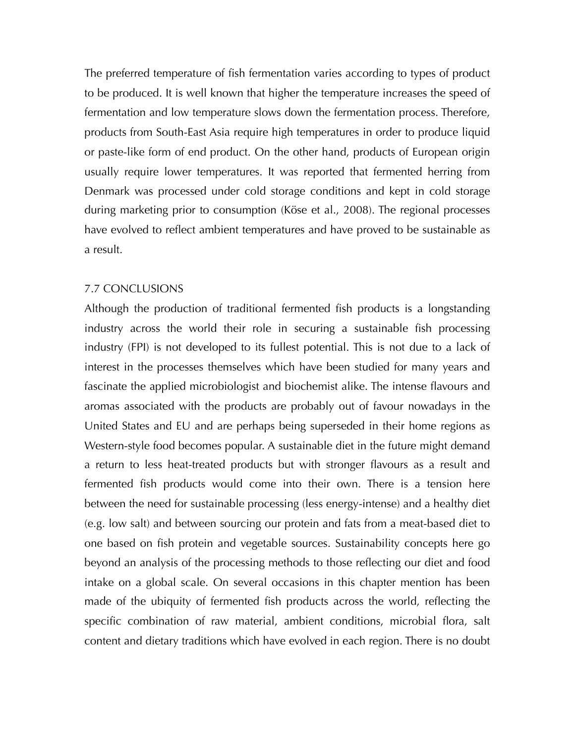The preferred temperature of fish fermentation varies according to types of product to be produced. It is well known that higher the temperature increases the speed of fermentation and low temperature slows down the fermentation process. Therefore, products from South-East Asia require high temperatures in order to produce liquid or paste-like form of end product. On the other hand, products of European origin usually require lower temperatures. It was reported that fermented herring from Denmark was processed under cold storage conditions and kept in cold storage during marketing prior to consumption (Köse et al., 2008). The regional processes have evolved to reflect ambient temperatures and have proved to be sustainable as a result.

## 7.7 CONCLUSIONS

Although the production of traditional fermented fish products is a longstanding industry across the world their role in securing a sustainable fish processing industry (FPI) is not developed to its fullest potential. This is not due to a lack of interest in the processes themselves which have been studied for many years and fascinate the applied microbiologist and biochemist alike. The intense flavours and aromas associated with the products are probably out of favour nowadays in the United States and EU and are perhaps being superseded in their home regions as Western-style food becomes popular. A sustainable diet in the future might demand a return to less heat-treated products but with stronger flavours as a result and fermented fish products would come into their own. There is a tension here between the need for sustainable processing (less energy-intense) and a healthy diet (e.g. low salt) and between sourcing our protein and fats from a meat-based diet to one based on fish protein and vegetable sources. Sustainability concepts here go beyond an analysis of the processing methods to those reflecting our diet and food intake on a global scale. On several occasions in this chapter mention has been made of the ubiquity of fermented fish products across the world, reflecting the specific combination of raw material, ambient conditions, microbial flora, salt content and dietary traditions which have evolved in each region. There is no doubt